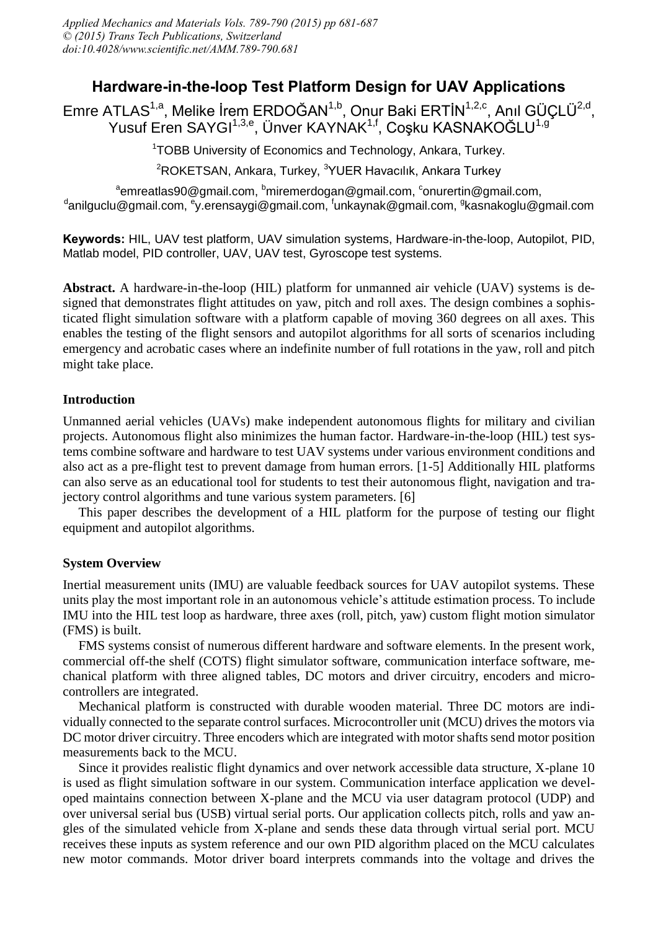# **Hardware-in-the-loop Test Platform Design for UAV Applications**

Emre ATLAS<sup>1,a</sup>, Melike İrem ERDOĞAN<sup>1,b</sup>, Onur Baki ERTİN<sup>1,2,c</sup>, Anıl GÜÇLÜ<sup>2,d</sup>, Yusuf Eren SAYGI<sup>1,3,e</sup>, Ünver KAYNAK<sup>1,f</sup>, Coşku KASNAKOĞLU<sup>1,g</sup>

<sup>1</sup>TOBB University of Economics and Technology, Ankara, Turkey.

<sup>2</sup>ROKETSAN, Ankara, Turkey, <sup>3</sup>YUER Havacılık, Ankara Turkey

 $^{\rm a}$ emreatlas90@gmail.com,  $^{\rm b}$ miremerdogan@gmail.com,  $^{\rm c}$ onurertin@gmail.com, <sup>d</sup>anilguclu@gmail.com, <sup>e</sup>y.erensaygi@gmail.com, <sup>f</sup>unkaynak@gmail.com, <sup>g</sup>kasnakoglu@gmail.com

**Keywords:** HIL, UAV test platform, UAV simulation systems, Hardware-in-the-loop, Autopilot, PID, Matlab model, PID controller, UAV, UAV test, Gyroscope test systems.

**Abstract.** A hardware-in-the-loop (HIL) platform for unmanned air vehicle (UAV) systems is designed that demonstrates flight attitudes on yaw, pitch and roll axes. The design combines a sophisticated flight simulation software with a platform capable of moving 360 degrees on all axes. This enables the testing of the flight sensors and autopilot algorithms for all sorts of scenarios including emergency and acrobatic cases where an indefinite number of full rotations in the yaw, roll and pitch might take place.

# **Introduction**

Unmanned aerial vehicles (UAVs) make independent autonomous flights for military and civilian projects. Autonomous flight also minimizes the human factor. Hardware-in-the-loop (HIL) test systems combine software and hardware to test UAV systems under various environment conditions and also act as a pre-flight test to prevent damage from human errors. [1-5] Additionally HIL platforms can also serve as an educational tool for students to test their autonomous flight, navigation and trajectory control algorithms and tune various system parameters. [6]

This paper describes the development of a HIL platform for the purpose of testing our flight equipment and autopilot algorithms.

# **System Overview**

Inertial measurement units (IMU) are valuable feedback sources for UAV autopilot systems. These units play the most important role in an autonomous vehicle's attitude estimation process. To include IMU into the HIL test loop as hardware, three axes (roll, pitch, yaw) custom flight motion simulator (FMS) is built.

FMS systems consist of numerous different hardware and software elements. In the present work, commercial off-the shelf (COTS) flight simulator software, communication interface software, mechanical platform with three aligned tables, DC motors and driver circuitry, encoders and microcontrollers are integrated.

Mechanical platform is constructed with durable wooden material. Three DC motors are individually connected to the separate control surfaces. Microcontroller unit (MCU) drives the motors via DC motor driver circuitry. Three encoders which are integrated with motor shafts send motor position measurements back to the MCU.

Since it provides realistic flight dynamics and over network accessible data structure, X-plane 10 is used as flight simulation software in our system. Communication interface application we developed maintains connection between X-plane and the MCU via user datagram protocol (UDP) and over universal serial bus (USB) virtual serial ports. Our application collects pitch, rolls and yaw angles of the simulated vehicle from X-plane and sends these data through virtual serial port. MCU receives these inputs as system reference and our own PID algorithm placed on the MCU calculates new motor commands. Motor driver board interprets commands into the voltage and drives the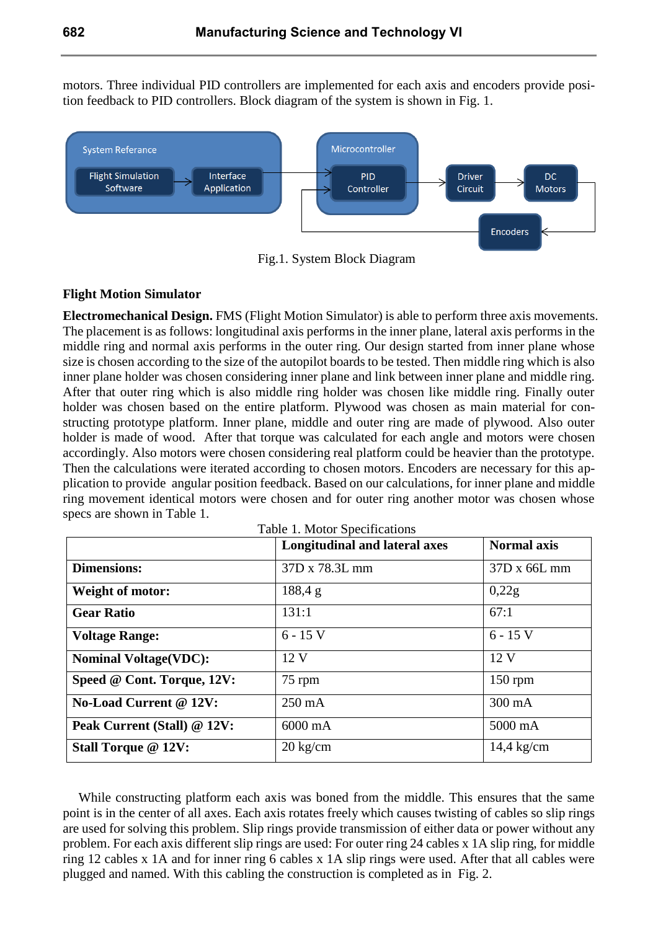motors. Three individual PID controllers are implemented for each axis and encoders provide position feedback to PID controllers. Block diagram of the system is shown in Fig. 1.



Fig.1. System Block Diagram

### **Flight Motion Simulator**

**Electromechanical Design.** FMS (Flight Motion Simulator) is able to perform three axis movements. The placement is as follows: longitudinal axis performs in the inner plane, lateral axis performs in the middle ring and normal axis performs in the outer ring. Our design started from inner plane whose size is chosen according to the size of the autopilot boards to be tested. Then middle ring which is also inner plane holder was chosen considering inner plane and link between inner plane and middle ring. After that outer ring which is also middle ring holder was chosen like middle ring. Finally outer holder was chosen based on the entire platform. Plywood was chosen as main material for constructing prototype platform. Inner plane, middle and outer ring are made of plywood. Also outer holder is made of wood. After that torque was calculated for each angle and motors were chosen accordingly. Also motors were chosen considering real platform could be heavier than the prototype. Then the calculations were iterated according to chosen motors. Encoders are necessary for this application to provide angular position feedback. Based on our calculations, for inner plane and middle ring movement identical motors were chosen and for outer ring another motor was chosen whose specs are shown in Table 1.

|                               | Longitudinal and lateral axes | <b>Normal axis</b>   |
|-------------------------------|-------------------------------|----------------------|
| <b>Dimensions:</b>            | 37D x 78.3L mm                | 37D x 66L mm         |
| <b>Weight of motor:</b>       | 188,4 g                       | 0,22g                |
| <b>Gear Ratio</b>             | 131:1                         | 67:1                 |
| <b>Voltage Range:</b>         | $6 - 15$ V                    | $6 - 15$ V           |
| <b>Nominal Voltage(VDC):</b>  | 12V                           | 12V                  |
| Speed @ Cont. Torque, 12V:    | 75 rpm                        | $150$ rpm            |
| <b>No-Load Current @ 12V:</b> | $250 \text{ mA}$              | $300 \text{ mA}$     |
| Peak Current (Stall) @ 12V:   | $6000 \text{ mA}$             | 5000 mA              |
| <b>Stall Torque @ 12V:</b>    | $20 \text{ kg/cm}$            | $14,4 \text{ kg/cm}$ |

While constructing platform each axis was boned from the middle. This ensures that the same point is in the center of all axes. Each axis rotates freely which causes twisting of cables so slip rings are used for solving this problem. Slip rings provide transmission of either data or power without any problem. For each axis different slip rings are used: For outer ring 24 cables x 1A slip ring, for middle ring 12 cables x 1A and for inner ring 6 cables x 1A slip rings were used. After that all cables were plugged and named. With this cabling the construction is completed as in Fig. 2.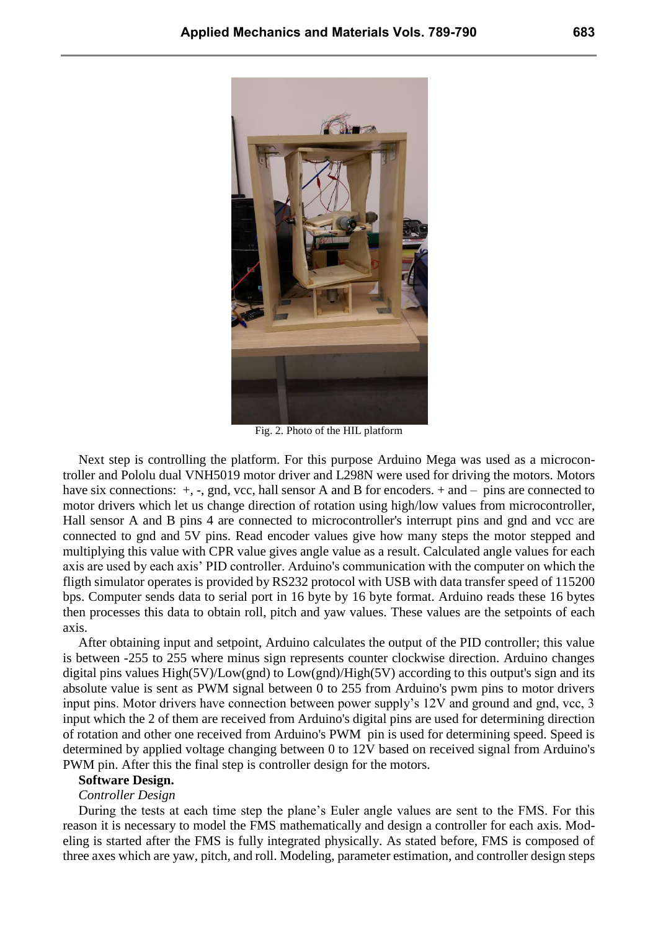

Fig. 2. Photo of the HIL platform

Next step is controlling the platform. For this purpose Arduino Mega was used as a microcontroller and Pololu dual VNH5019 motor driver and L298N were used for driving the motors. Motors have six connections:  $+$ ,  $-$ , gnd, vcc, hall sensor A and B for encoders.  $+$  and  $-$  pins are connected to motor drivers which let us change direction of rotation using high/low values from microcontroller, Hall sensor A and B pins 4 are connected to microcontroller's interrupt pins and gnd and vcc are connected to gnd and 5V pins. Read encoder values give how many steps the motor stepped and multiplying this value with CPR value gives angle value as a result. Calculated angle values for each axis are used by each axis' PID controller. Arduino's communication with the computer on which the fligth simulator operates is provided by RS232 protocol with USB with data transfer speed of 115200 bps. Computer sends data to serial port in 16 byte by 16 byte format. Arduino reads these 16 bytes then processes this data to obtain roll, pitch and yaw values. These values are the setpoints of each axis.

After obtaining input and setpoint, Arduino calculates the output of the PID controller; this value is between -255 to 255 where minus sign represents counter clockwise direction. Arduino changes digital pins values High(5V)/Low(gnd) to Low(gnd)/High(5V) according to this output's sign and its absolute value is sent as PWM signal between 0 to 255 from Arduino's pwm pins to motor drivers input pins. Motor drivers have connection between power supply's 12V and ground and gnd, vcc, 3 input which the 2 of them are received from Arduino's digital pins are used for determining direction of rotation and other one received from Arduino's PWM pin is used for determining speed. Speed is determined by applied voltage changing between 0 to 12V based on received signal from Arduino's PWM pin. After this the final step is controller design for the motors.

#### **Software Design.**

#### *Controller Design*

During the tests at each time step the plane's Euler angle values are sent to the FMS. For this reason it is necessary to model the FMS mathematically and design a controller for each axis. Modeling is started after the FMS is fully integrated physically. As stated before, FMS is composed of three axes which are yaw, pitch, and roll. Modeling, parameter estimation, and controller design steps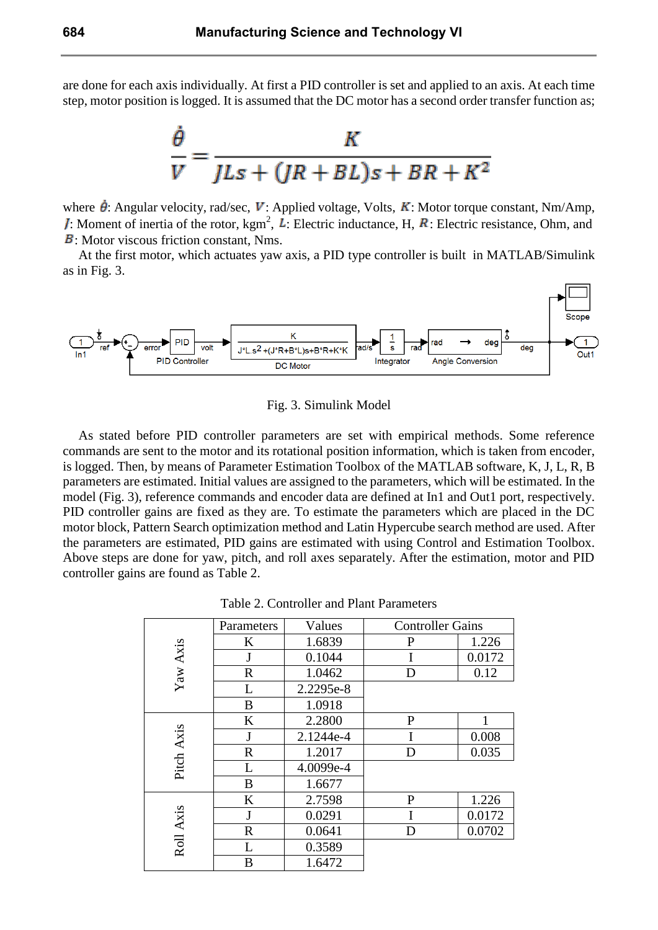are done for each axis individually. At first a PID controller is set and applied to an axis. At each time step, motor position is logged. It is assumed that the DC motor has a second order transfer function as;



where  $\dot{\theta}$ : Angular velocity, rad/sec, V: Applied voltage, Volts, K: Motor torque constant, Nm/Amp, : Moment of inertia of the rotor,  $\text{kgm}^2$ , L: Electric inductance, H, R: Electric resistance, Ohm, and **B**: Motor viscous friction constant, Nms.

At the first motor, which actuates yaw axis, a PID type controller is built in MATLAB/Simulink as in Fig. 3.



Fig. 3. Simulink Model

As stated before PID controller parameters are set with empirical methods. Some reference commands are sent to the motor and its rotational position information, which is taken from encoder, is logged. Then, by means of Parameter Estimation Toolbox of the MATLAB software, K, J, L, R, B parameters are estimated. Initial values are assigned to the parameters, which will be estimated. In the model (Fig. 3), reference commands and encoder data are defined at In1 and Out1 port, respectively. PID controller gains are fixed as they are. To estimate the parameters which are placed in the DC motor block, Pattern Search optimization method and Latin Hypercube search method are used. After the parameters are estimated, PID gains are estimated with using Control and Estimation Toolbox. Above steps are done for yaw, pitch, and roll axes separately. After the estimation, motor and PID controller gains are found as Table 2.

Table 2. Controller and Plant Parameters

| Yaw Axis   | Parameters  | Values    | <b>Controller Gains</b> |        |
|------------|-------------|-----------|-------------------------|--------|
|            | K           | 1.6839    | $\mathbf{P}$            | 1.226  |
|            | J           | 0.1044    | I                       | 0.0172 |
|            | $\mathbf R$ | 1.0462    | D                       | 0.12   |
|            | L           | 2.2295e-8 |                         |        |
|            | B           | 1.0918    |                         |        |
| Pitch Axis | K           | 2.2800    | $\mathbf P$             | 1      |
|            | J           | 2.1244e-4 |                         | 0.008  |
|            | $\mathbf R$ | 1.2017    | D                       | 0.035  |
|            | L           | 4.0099e-4 |                         |        |
|            | B           | 1.6677    |                         |        |
| Roll Axis  | K           | 2.7598    | $\mathbf{P}$            | 1.226  |
|            | J           | 0.0291    |                         | 0.0172 |
|            | $\mathbf R$ | 0.0641    | D                       | 0.0702 |
|            | L           | 0.3589    |                         |        |
|            | B           | 1.6472    |                         |        |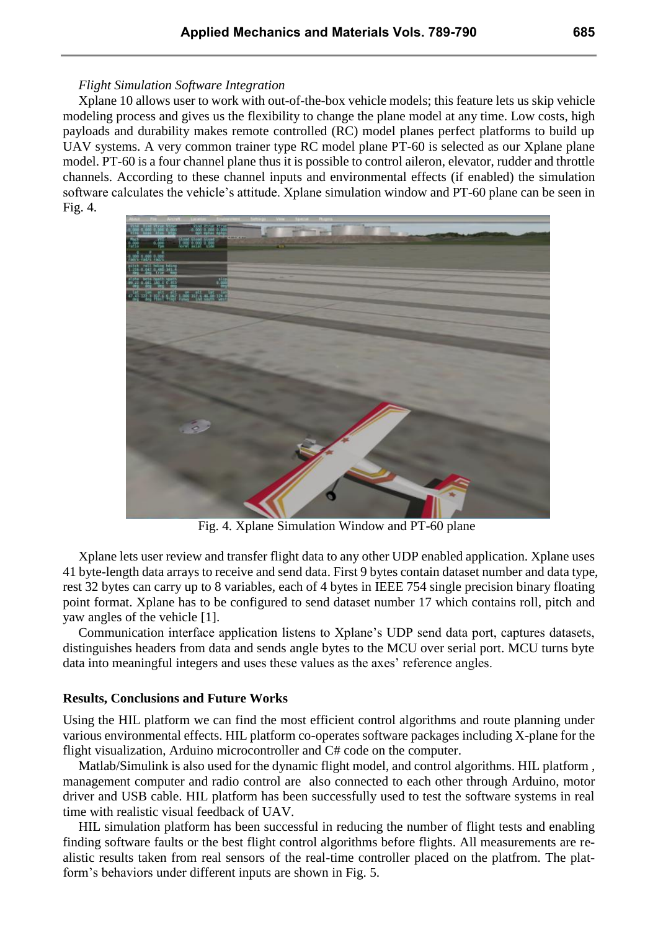#### *Flight Simulation Software Integration*

Xplane 10 allows user to work with out-of-the-box vehicle models; this feature lets us skip vehicle modeling process and gives us the flexibility to change the plane model at any time. Low costs, high payloads and durability makes remote controlled (RC) model planes perfect platforms to build up UAV systems. A very common trainer type RC model plane PT-60 is selected as our Xplane plane model. PT-60 is a four channel plane thus it is possible to control aileron, elevator, rudder and throttle channels. According to these channel inputs and environmental effects (if enabled) the simulation software calculates the vehicle's attitude. Xplane simulation window and PT-60 plane can be seen in Fig. 4.



Fig. 4. Xplane Simulation Window and PT-60 plane

Xplane lets user review and transfer flight data to any other UDP enabled application. Xplane uses 41 byte-length data arrays to receive and send data. First 9 bytes contain dataset number and data type, rest 32 bytes can carry up to 8 variables, each of 4 bytes in IEEE 754 single precision binary floating point format. Xplane has to be configured to send dataset number 17 which contains roll, pitch and yaw angles of the vehicle [1].

Communication interface application listens to Xplane's UDP send data port, captures datasets, distinguishes headers from data and sends angle bytes to the MCU over serial port. MCU turns byte data into meaningful integers and uses these values as the axes' reference angles.

### **Results, Conclusions and Future Works**

Using the HIL platform we can find the most efficient control algorithms and route planning under various environmental effects. HIL platform co-operates software packages including X-plane for the flight visualization, Arduino microcontroller and C# code on the computer.

Matlab/Simulink is also used for the dynamic flight model, and control algorithms. HIL platform , management computer and radio control are also connected to each other through Arduino, motor driver and USB cable. HIL platform has been successfully used to test the software systems in real time with realistic visual feedback of UAV.

HIL simulation platform has been successful in reducing the number of flight tests and enabling finding software faults or the best flight control algorithms before flights. All measurements are realistic results taken from real sensors of the real-time controller placed on the platfrom. The platform's behaviors under different inputs are shown in Fig. 5.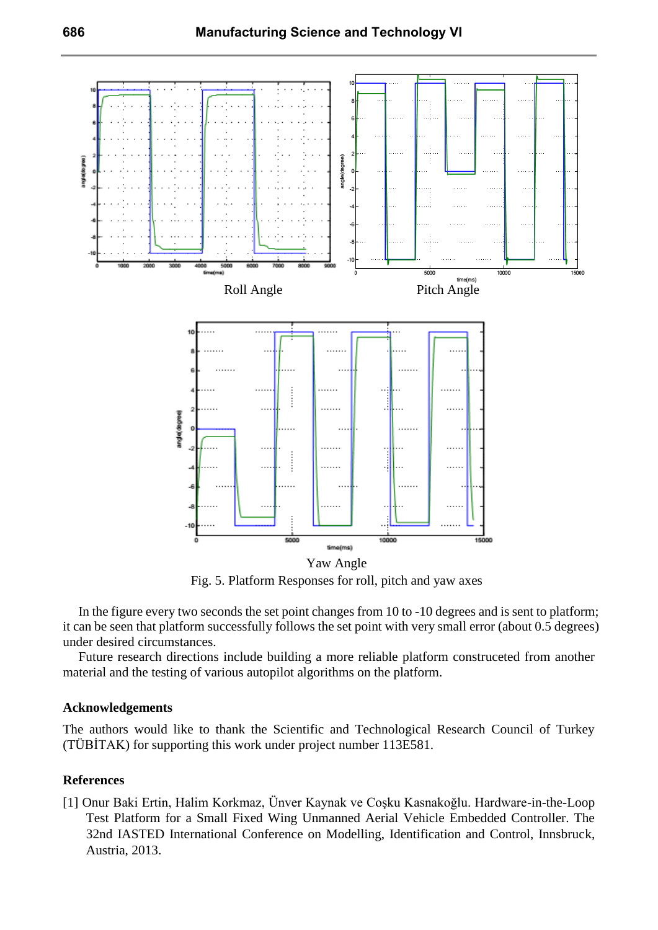

Fig. 5. Platform Responses for roll, pitch and yaw axes

In the figure every two seconds the set point changes from 10 to -10 degrees and is sent to platform; it can be seen that platform successfully follows the set point with very small error (about 0.5 degrees) under desired circumstances.

Future research directions include building a more reliable platform construceted from another material and the testing of various autopilot algorithms on the platform.

### **Acknowledgements**

The authors would like to thank the Scientific and Technological Research Council of Turkey (TÜBİTAK) for supporting this work under project number 113E581.

# **References**

[1] Onur Baki Ertin, Halim Korkmaz, Ünver Kaynak ve Coşku Kasnakoğlu. Hardware-in-the-Loop Test Platform for a Small Fixed Wing Unmanned Aerial Vehicle Embedded Controller. The 32nd IASTED International Conference on Modelling, Identification and Control, Innsbruck, Austria, 2013.